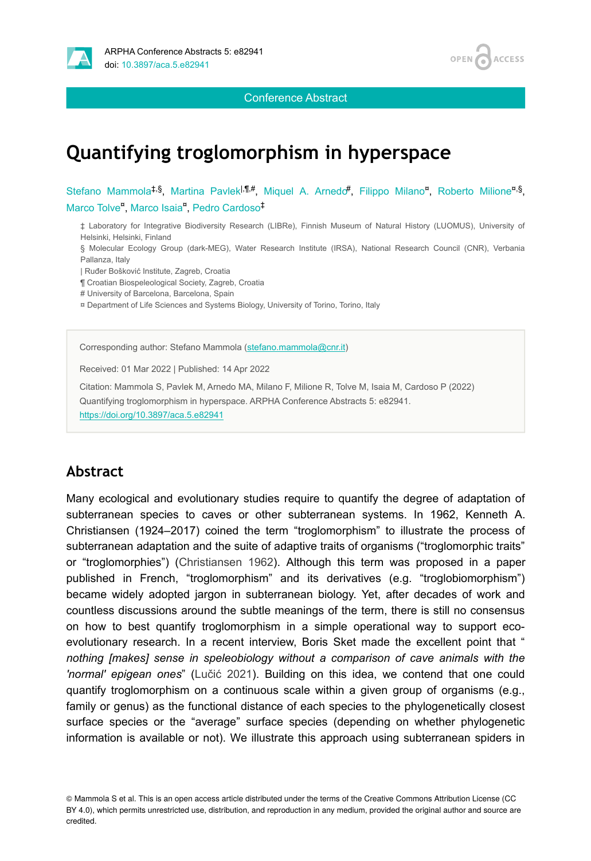

Conference Abstract

#### OPEN / **ACCESS**

# **Quantifying troglomorphism in hyperspace**

Stefano Mammola<sup>‡,§</sup>, Martina Pavlek<sup>1,¶#</sup>, Miquel A. Arnedo<sup>#</sup>, Filippo Milano<sup>n</sup>, Roberto Milione<sup>n.§</sup>, Marco Tolve<sup>a</sup>, Marco Isaia<sup>n</sup>, Pedro Cardoso<sup>‡</sup>

‡ Laboratory for Integrative Biodiversity Research (LIBRe), Finnish Museum of Natural History (LUOMUS), University of Helsinki, Helsinki, Finland

§ Molecular Ecology Group (dark-MEG), Water Research Institute (IRSA), National Research Council (CNR), Verbania Pallanza, Italy

| Ruđer Bošković Institute, Zagreb, Croatia

¶ Croatian Biospeleological Society, Zagreb, Croatia

# University of Barcelona, Barcelona, Spain

¤ Department of Life Sciences and Systems Biology, University of Torino, Torino, Italy

Corresponding author: Stefano Mammola ([stefano.mammola@cnr.it](mailto:stefano.mammola@cnr.it))

Received: 01 Mar 2022 | Published: 14 Apr 2022

Citation: Mammola S, Pavlek M, Arnedo MA, Milano F, Milione R, Tolve M, Isaia M, Cardoso P (2022) Quantifying troglomorphism in hyperspace. ARPHA Conference Abstracts 5: e82941. <https://doi.org/10.3897/aca.5.e82941>

### **Abstract**

Many ecological and evolutionary studies require to quantify the degree of adaptation of subterranean species to caves or other subterranean systems. In 1962, Kenneth A. Christiansen (1924–2017) coined the term "troglomorphism" to illustrate the process of subterranean adaptation and the suite of adaptive traits of organisms ("troglomorphic traits" or "troglomorphies") [\(Christiansen 1962](#page-2-0)). Although this term was proposed in a paper published in French, "troglomorphism" and its derivatives (e.g. "troglobiomorphism") became widely adopted jargon in subterranean biology. Yet, after decades of work and countless discussions around the subtle meanings of the term, there is still no consensus on how to best quantify troglomorphism in a simple operational way to support ecoevolutionary research. In a recent interview, Boris Sket made the excellent point that " *nothing [makes] sense in speleobiology without a comparison of cave animals with the 'normal' epigean ones*" (Lučić [2021\)](#page-2-1). Building on this idea, we contend that one could quantify troglomorphism on a continuous scale within a given group of organisms (e.g., family or genus) as the functional distance of each species to the phylogenetically closest surface species or the "average" surface species (depending on whether phylogenetic information is available or not). We illustrate this approach using subterranean spiders in

© Mammola S et al. This is an open access article distributed under the terms of the Creative Commons Attribution License (CC BY 4.0), which permits unrestricted use, distribution, and reproduction in any medium, provided the original author and source are credited.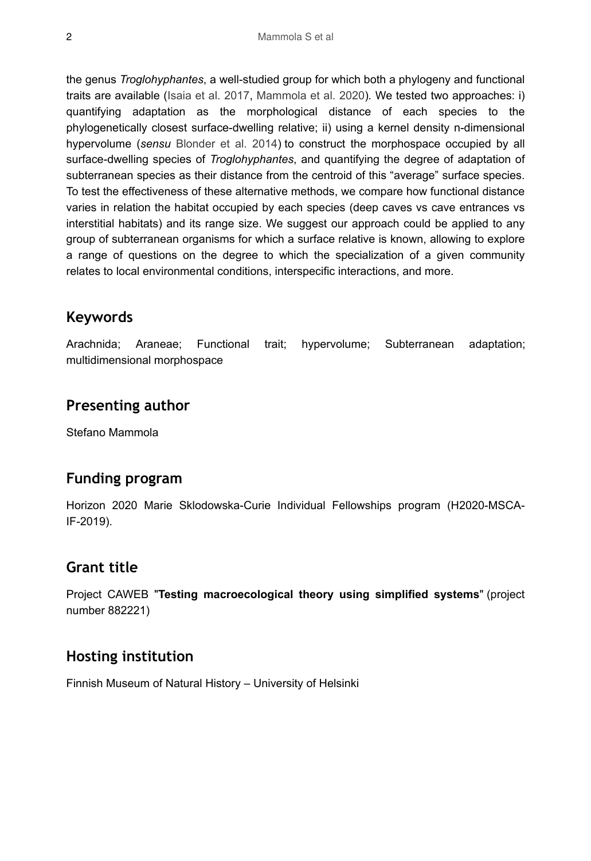the genus *Troglohyphantes*, a well-studied group for which both a phylogeny and functional traits are available [\(Isaia et al. 2017](#page-2-2), [Mammola et al. 2020](#page-2-3))*.* We tested two approaches: i) quantifying adaptation as the morphological distance of each species to the phylogenetically closest surface-dwelling relative; ii) using a kernel density n-dimensional hypervolume (*sensu* [Blonder et al. 2014\)](#page-2-4) to construct the morphospace occupied by all surface-dwelling species of *Troglohyphantes*, and quantifying the degree of adaptation of subterranean species as their distance from the centroid of this "average" surface species. To test the effectiveness of these alternative methods, we compare how functional distance varies in relation the habitat occupied by each species (deep caves vs cave entrances vs interstitial habitats) and its range size. We suggest our approach could be applied to any group of subterranean organisms for which a surface relative is known, allowing to explore a range of questions on the degree to which the specialization of a given community relates to local environmental conditions, interspecific interactions, and more.

## **Keywords**

Arachnida; Araneae; Functional trait; hypervolume; Subterranean adaptation; multidimensional morphospace

### **Presenting author**

Stefano Mammola

## **Funding program**

Horizon 2020 Marie Sklodowska-Curie Individual Fellowships program (H2020-MSCA-IF-2019).

### **Grant title**

Project CAWEB "**Testing macroecological theory using simplified systems**" (project number 882221)

## **Hosting institution**

Finnish Museum of Natural History – University of Helsinki